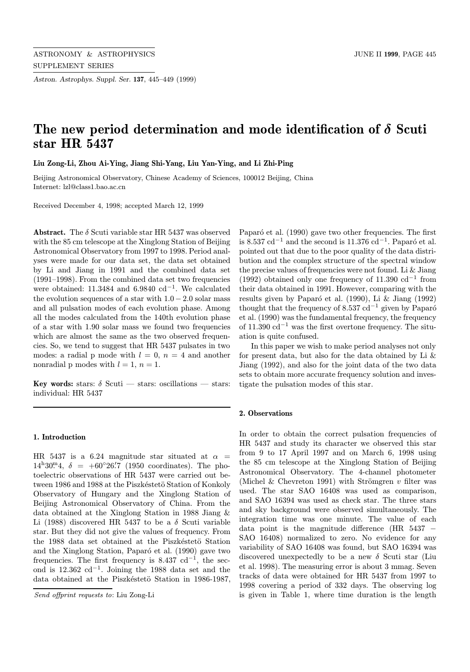Astron. Astrophys. Suppl. Ser. 137, 445–449 (1999)

# The new period determination and mode identification of  $\delta$  Scuti star HR 5437

Liu Zong-Li, Zhou Ai-Ying, Jiang Shi-Yang, Liu Yan-Ying, and Li Zhi-Ping

Beijing Astronomical Observatory, Chinese Academy of Sciences, 100012 Beijing, China Internet: lzl@class1.bao.ac.cn

Received December 4, 1998; accepted March 12, 1999

**Abstract.** The  $\delta$  Scuti variable star HR 5437 was observed with the 85 cm telescope at the Xinglong Station of Beijing Astronomical Observatory from 1997 to 1998. Period analyses were made for our data set, the data set obtained by Li and Jiang in 1991 and the combined data set (1991–1998). From the combined data set two frequencies were obtained: 11.3484 and 6.9840  $\text{cd}^{-1}$ . We calculated the evolution sequences of a star with  $1.0 - 2.0$  solar mass and all pulsation modes of each evolution phase. Among all the modes calculated from the 140th evolution phase of a star with 1.90 solar mass we found two frequencies which are almost the same as the two observed frequencies. So, we tend to suggest that HR 5437 pulsates in two modes: a radial p mode with  $l = 0$ ,  $n = 4$  and another nonradial p modes with  $l = 1$ ,  $n = 1$ .

Key words: stars:  $\delta$  Scuti — stars: oscillations — stars: individual: HR 5437

### 1. Introduction

HR 5437 is a 6.24 magnitude star situated at  $\alpha =$  $14^{\rm h}30^{\rm m}4$ ,  $\delta = +60^{\circ}26'$ . (1950 coordinates). The photoelectric observations of HR 5437 were carried out between 1986 and 1988 at the Piszkéstetö Station of Konkoly Observatory of Hungary and the Xinglong Station of Beijing Astronomical Observatory of China. From the data obtained at the Xinglong Station in 1988 Jiang & Li (1988) discovered HR 5437 to be a  $\delta$  Scuti variable star. But they did not give the values of frequency. From the 1988 data set obtained at the Piszkéstetö Station and the Xinglong Station, Paparó et al. (1990) gave two frequencies. The first frequency is 8.437 cd<sup>-1</sup>, the second is  $12.362 \text{ cd}^{-1}$ . Joining the 1988 data set and the data obtained at the Piszkéstetö Station in 1986-1987,

Paparó et al. (1990) gave two other frequencies. The first is 8.537 cd<sup>-1</sup> and the second is 11.376 cd<sup>-1</sup>. Paparó et al. pointed out that due to the poor quality of the data distribution and the complex structure of the spectral window the precise values of frequencies were not found. Li & Jiang (1992) obtained only one frequency of 11.390  $\text{cd}^{-1}$  from their data obtained in 1991. However, comparing with the results given by Paparó et al.  $(1990)$ , Li & Jiang  $(1992)$ thought that the frequency of 8.537 cd<sup>-1</sup> given by Paparó et al. (1990) was the fundamental frequency, the frequency of 11.390 cd<sup>−</sup><sup>1</sup> was the first overtone frequency. The situation is quite confused.

In this paper we wish to make period analyses not only for present data, but also for the data obtained by Li  $\&$ Jiang (1992), and also for the joint data of the two data sets to obtain more accurate frequency solution and investigate the pulsation modes of this star.

### 2. Observations

In order to obtain the correct pulsation frequencies of HR 5437 and study its character we observed this star from 9 to 17 April 1997 and on March 6, 1998 using the 85 cm telescope at the Xinglong Station of Beijing Astronomical Observatory. The 4-channel photometer (Michel & Chevreton 1991) with Strömgren  $v$  filter was used. The star SAO 16408 was used as comparison, and SAO 16394 was used as check star. The three stars and sky background were observed simultaneously. The integration time was one minute. The value of each data point is the magnitude difference (HR 5437 SAO 16408) normalized to zero. No evidence for any variability of SAO 16408 was found, but SAO 16394 was discovered unexpectedly to be a new  $\delta$  Scuti star (Liu et al. 1998). The measuring error is about 3 mmag. Seven tracks of data were obtained for HR 5437 from 1997 to 1998 covering a period of 332 days. The observing log is given in Table 1, where time duration is the length

Send offprint requests to: Liu Zong-Li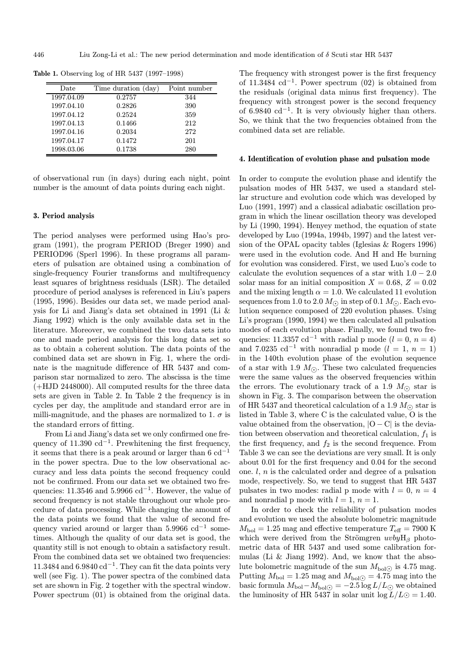| Date       | Time duration (day) | Point number |
|------------|---------------------|--------------|
| 1997.04.09 | 0.2757              | 344          |
| 1997.04.10 | 0.2826              | 390          |
| 1997.04.12 | 0.2524              | 359          |
| 1997.04.13 | 0.1466              | 212          |
| 1997.04.16 | 0.2034              | 272          |
| 1997.04.17 | 0.1472              | 201          |
| 1998.03.06 | 0.1738              | 280          |

Table 1. Observing log of HR 5437 (1997–1998)

of observational run (in days) during each night, point number is the amount of data points during each night.

#### 3. Period analysis

The period analyses were performed using Hao's program (1991), the program PERIOD (Breger 1990) and PERIOD96 (Sperl 1996). In these programs all parameters of pulsation are obtained using a combination of single-frequency Fourier transforms and multifrequency least squares of brightness residuals (LSR). The detailed procedure of period analyses is referenced in Liu's papers (1995, 1996). Besides our data set, we made period analysis for Li and Jiang's data set obtained in 1991 (Li & Jiang 1992) which is the only available data set in the literature. Moreover, we combined the two data sets into one and made period analysis for this long data set so as to obtain a coherent solution. The data points of the combined data set are shown in Fig. 1, where the ordinate is the magnitude difference of HR 5437 and comparison star normalized to zero. The abscissa is the time (+HJD 2448000). All computed results for the three data sets are given in Table 2. In Table 2 the frequency is in cycles per day, the amplitude and standard error are in milli-magnitude, and the phases are normalized to 1.  $\sigma$  is the standard errors of fitting.

From Li and Jiang's data set we only confirmed one frequency of  $11.390 \text{ cd}^{-1}$ . Prewhitening the first frequency, it seems that there is a peak around or larger than  $6 \text{ cd}^{-1}$ in the power spectra. Due to the low observational accuracy and less data points the second frequency could not be confirmed. From our data set we obtained two frequencies: 11.3546 and 5.9966 cd<sup>-1</sup>. However, the value of second frequency is not stable throughout our whole procedure of data processing. While changing the amount of the data points we found that the value of second frequency varied around or larger than 5.9966  $\text{cd}^{-1}$  sometimes. Although the quality of our data set is good, the quantity still is not enough to obtain a satisfactory result. From the combined data set we obtained two frequencies: 11.3484 and  $6.9840 \text{ cd}^{-1}$ . They can fit the data points very well (see Fig. 1). The power spectra of the combined data set are shown in Fig. 2 together with the spectral window. Power spectrum (01) is obtained from the original data.

The frequency with strongest power is the first frequency of 11.3484 cd<sup>-1</sup>. Power spectrum  $(02)$  is obtained from the residuals (original data minus first frequency). The frequency with strongest power is the second frequency of 6.9840  $\text{cd}^{-1}$ . It is very obviously higher than others. So, we think that the two frequencies obtained from the combined data set are reliable.

#### 4. Identification of evolution phase and pulsation mode

In order to compute the evolution phase and identify the pulsation modes of HR 5437, we used a standard stellar structure and evolution code which was developed by Luo (1991, 1997) and a classical adiabatic oscillation program in which the linear oscillation theory was developed by Li (1990, 1994). Henyey method, the equation of state developed by Luo (1994a, 1994b, 1997) and the latest version of the OPAL opacity tables (Iglesias & Rogers 1996) were used in the evolution code. And H and He burning for evolution was considered. First, we used Luo's code to calculate the evolution sequences of a star with  $1.0 - 2.0$ solar mass for an initial composition  $X = 0.68$ ,  $Z = 0.02$ and the mixing length  $\alpha = 1.0$ . We calculated 11 evolution sequences from 1.0 to 2.0  $M_{\odot}$  in step of 0.1  $M_{\odot}$ . Each evolution sequence composed of 220 evolution phases. Using Li's program (1990, 1994) we then calculated all pulsation modes of each evolution phase. Finally, we found two frequencies: 11.3357 cd<sup>-1</sup> with radial p mode ( $l = 0, n = 4$ ) and 7.0235 cd<sup>-1</sup> with nonradial p mode ( $l = 1, n = 1$ ) in the 140th evolution phase of the evolution sequence of a star with 1.9  $M_{\odot}$ . These two calculated frequencies were the same values as the observed frequencies within the errors. The evolutionary track of a 1.9  $M_{\odot}$  star is shown in Fig. 3. The comparison between the observation of HR 5437 and theoretical calculation of a 1.9  $M_{\odot}$  star is listed in Table 3, where C is the calculated value, O is the value obtained from the observation,  $|O - C|$  is the deviation between observation and theoretical calculation,  $f_1$  is the first frequency, and  $f_2$  is the second frequence. From Table 3 we can see the deviations are very small. It is only about 0.01 for the first frequency and 0.04 for the second one.  $l, n$  is the calculated order and degree of a pulsation mode, respectively. So, we tend to suggest that HR 5437 pulsates in two modes: radial p mode with  $l = 0$ ,  $n = 4$ and nonradial p mode with  $l = 1$ ,  $n = 1$ .

In order to check the reliability of pulsation modes and evolution we used the absolute bolometric magnitude  $M_{\text{bol}} = 1.25$  mag and effective temperature  $T_{\text{eff}} = 7900$  K which were derived from the Strömgren  $uvbyH_\beta$  photometric data of HR 5437 and used some calibration formulas (Li & Jiang 1992). And, we know that the absolute bolometric magnitude of the sun  $M_{\text{bol}\odot}$  is 4.75 mag. Putting  $M_{\text{bol}} = 1.25$  mag and  $M_{\text{bol}} = 4.75$  mag into the basic formula  $M_{\text{bol}} - M_{\text{bol}\odot} = -2.5 \log L/L_{\odot}$  we obtained the luminosity of HR 5437 in solar unit  $\log L/L \odot = 1.40$ .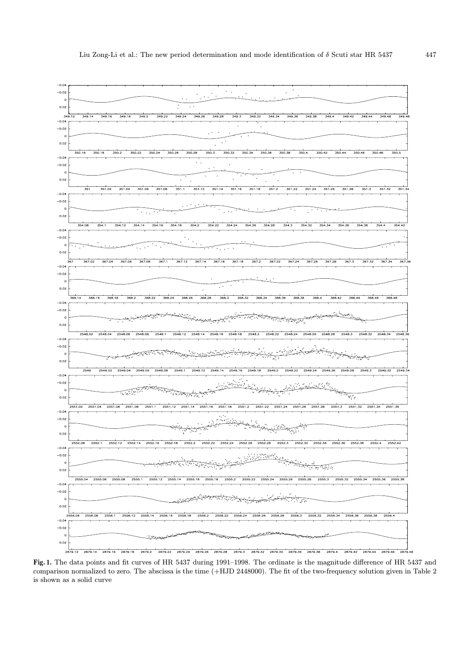

Fig. 1. The data points and fit curves of HR 5437 during 1991–1998. The ordinate is the magnitude difference of HR 5437 and comparison normalized to zero. The abscissa is the time (+HJD 2448000). The fit of the two-frequency solution given in Table 2 is shown as a solid curve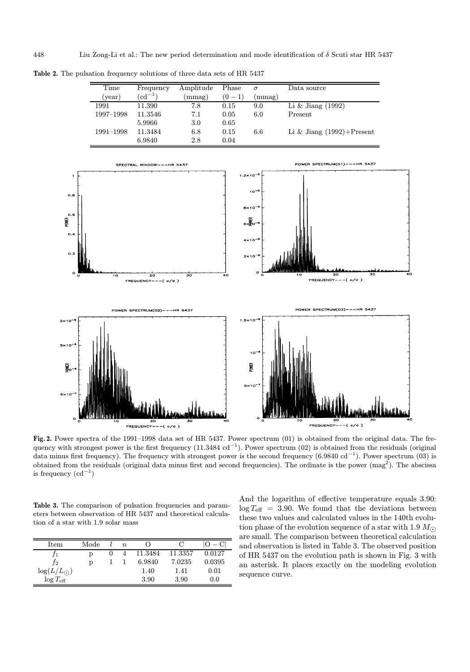Table 2. The pulsation frequency solutions of three data sets of HR 5437

|                                                           | Amplitude | Phase     | $\sigma$ | Data source                       |  |  |  |
|-----------------------------------------------------------|-----------|-----------|----------|-----------------------------------|--|--|--|
| $({\rm cd}^{-1})$                                         | (mmag)    | $(0 - 1)$ | (mmag)   |                                   |  |  |  |
| 11.390                                                    | 7.8       | 0.15      | 9.0      | Li $\&$ Jiang (1992)              |  |  |  |
| 11.3546                                                   | 7.1       | 0.05      | 6.0      | Present                           |  |  |  |
| 5.9966                                                    | 3.0       | 0.65      |          |                                   |  |  |  |
| 11.3484                                                   | 6.8       | 0.15      | 6.6      | Li & Jiang $(1992) +$ Present     |  |  |  |
| 6.9840                                                    | 2.8       | 0.04      |          |                                   |  |  |  |
| POWER SPECTRUM(01)---HR 5437<br>SPECTRAL WINDOW---HR 5437 |           |           |          |                                   |  |  |  |
|                                                           |           |           |          |                                   |  |  |  |
|                                                           |           |           |          |                                   |  |  |  |
|                                                           |           |           |          | $1.2 \times 10^{-5}$<br>$10^{-5}$ |  |  |  |



 $2*10$ 

Fig. 2. Power spectra of the 1991–1998 data set of HR 5437. Power spectrum (01) is obtained from the original data. The frequency with strongest power is the first frequency (11.3484 cd<sup>-1</sup>). Power spectrum (02) is obtained from the residuals (original data minus first frequency). The frequency with strongest power is the second frequency  $(6.9840 \text{ cd}^{-1})$ . Power spectrum  $(03)$  is obtained from the residuals (original data minus first and second frequencies). The ordinate is the power (mag<sup>2</sup>). The abscissa is frequency  $(\mathrm{cd}^{-1})$ 

Table 3. The comparison of pulsation frequencies and parameters between observation of HR 5437 and theoretical calculation of a star with 1.9 solar mass

| Item                  | Mode | $n_{\rm c}$ |         |         |        |
|-----------------------|------|-------------|---------|---------|--------|
|                       |      |             | 11.3484 | 11.3357 | 0.0127 |
| $J_{2}$               | D    |             | 6.9840  | 7.0235  | 0.0395 |
| $\log(L/L_{\odot})$   |      |             | 1.40    | 1.41    | 0.01   |
| $\log T_{\text{eff}}$ |      |             | 3.90    | 3.90    | 0.0    |

And the logarithm of effective temperature equals 3.90:  $\log T_{\text{eff}} = 3.90$ . We found that the deviations between these two values and calculated values in the 140th evolution phase of the evolution sequence of a star with 1.9  $M_{\odot}$ are small. The comparison between theoretical calculation and observation is listed in Table 3. The observed position of HR 5437 on the evolution path is shown in Fig. 3 with an asterisk. It places exactly on the modeling evolution sequence curve.

FREQUENCY-

 $\zeta$  o/d

 $O<sub>1</sub>$ 

XWER  $\sim$ 

 $\mathbf{o}$ .